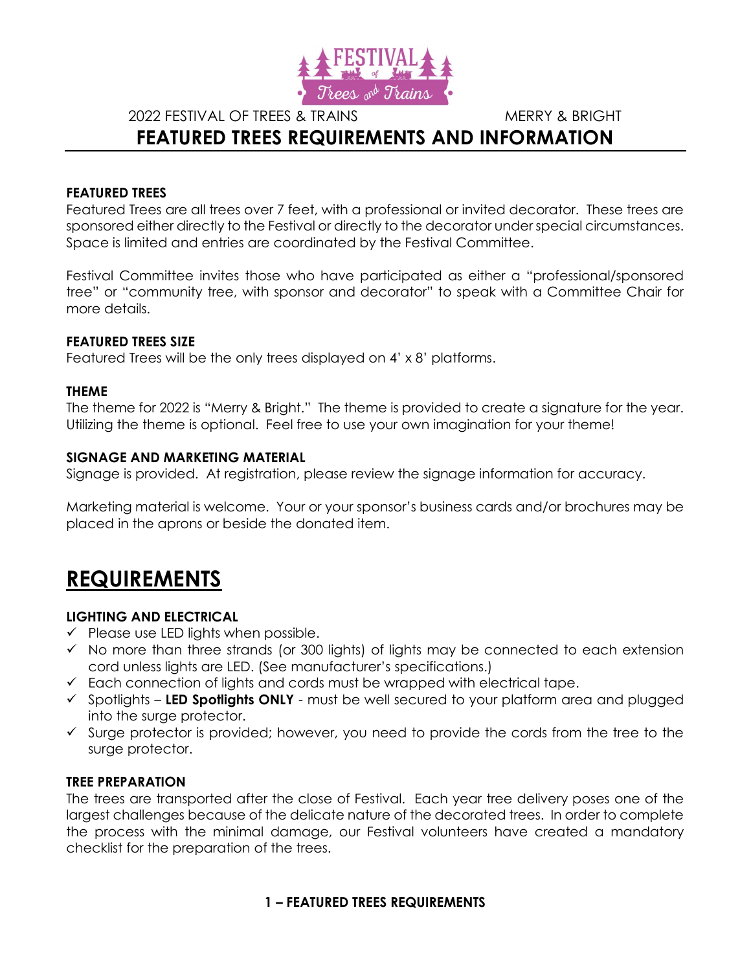

2022 FESTIVAL OF TREES & TRAINS MERRY & BRIGHT

# FEATURED TREES REQUIREMENTS AND INFORMATION

### FEATURED TREES

Featured Trees are all trees over 7 feet, with a professional or invited decorator. These trees are sponsored either directly to the Festival or directly to the decorator under special circumstances. Space is limited and entries are coordinated by the Festival Committee.

Festival Committee invites those who have participated as either a "professional/sponsored tree" or "community tree, with sponsor and decorator" to speak with a Committee Chair for more details.

### FEATURED TREES SIZE

Featured Trees will be the only trees displayed on 4' x 8' platforms.

### THEME

The theme for 2022 is "Merry & Bright." The theme is provided to create a signature for the year. Utilizing the theme is optional. Feel free to use your own imagination for your theme!

### SIGNAGE AND MARKETING MATERIAL

Signage is provided. At registration, please review the signage information for accuracy.

Marketing material is welcome. Your or your sponsor's business cards and/or brochures may be placed in the aprons or beside the donated item.

# REQUIREMENTS

## LIGHTING AND ELECTRICAL

- $\checkmark$  Please use LED lights when possible.
- $\checkmark$  No more than three strands (or 300 lights) of lights may be connected to each extension cord unless lights are LED. (See manufacturer's specifications.)
- $\checkmark$  Each connection of lights and cords must be wrapped with electrical tape.
- $\checkmark$  Spotlights LED Spotlights ONLY must be well secured to your platform area and plugged into the surge protector.
- $\checkmark$  Surge protector is provided; however, you need to provide the cords from the tree to the surge protector.

### TREE PREPARATION

The trees are transported after the close of Festival. Each year tree delivery poses one of the largest challenges because of the delicate nature of the decorated trees. In order to complete the process with the minimal damage, our Festival volunteers have created a mandatory checklist for the preparation of the trees.

## 1 – FEATURED TREES REQUIREMENTS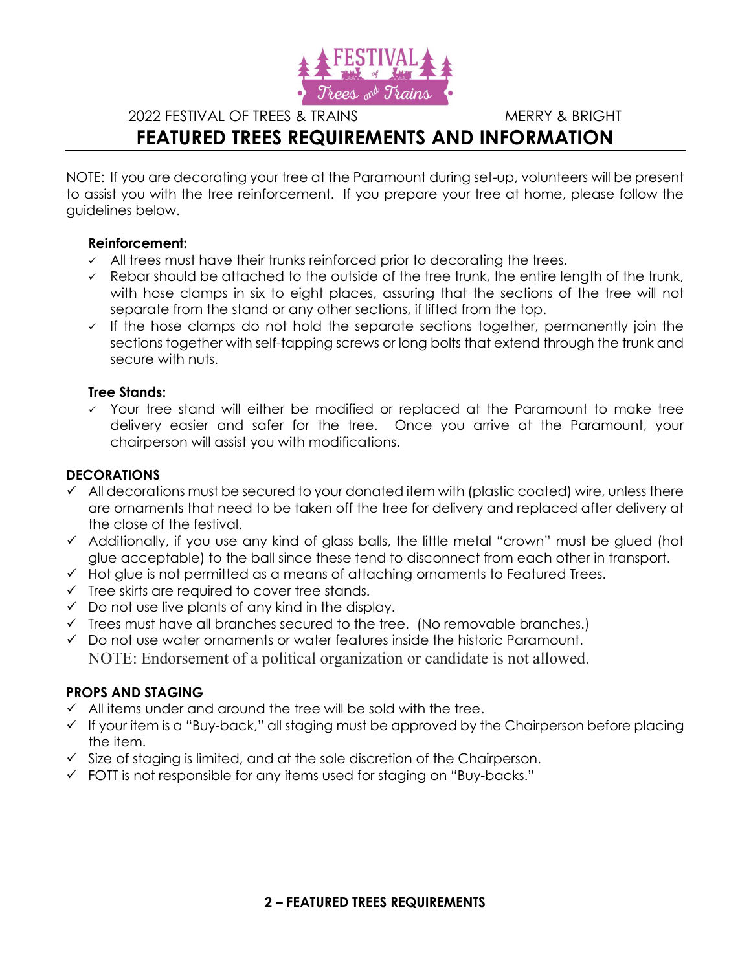

2022 FESTIVAL OF TREES & TRAINS MERRY & BRIGHT

# FEATURED TREES REQUIREMENTS AND INFORMATION

NOTE: If you are decorating your tree at the Paramount during set-up, volunteers will be present to assist you with the tree reinforcement. If you prepare your tree at home, please follow the guidelines below.

### Reinforcement:

- $\sim$  All trees must have their trunks reinforced prior to decorating the trees.
- $\overline{\phantom{a}}$  Rebar should be attached to the outside of the tree trunk, the entire length of the trunk, with hose clamps in six to eight places, assuring that the sections of the tree will not separate from the stand or any other sections, if lifted from the top.
- $\checkmark$  If the hose clamps do not hold the separate sections together, permanently join the sections together with self-tapping screws or long bolts that extend through the trunk and secure with nuts.

## Tree Stands:

 $\checkmark$  Your tree stand will either be modified or replaced at the Paramount to make tree delivery easier and safer for the tree. Once you arrive at the Paramount, your chairperson will assist you with modifications.

# **DECORATIONS**

- $\checkmark$  All decorations must be secured to your donated item with (plastic coated) wire, unless there are ornaments that need to be taken off the tree for delivery and replaced after delivery at the close of the festival.
- $\checkmark$  Additionally, if you use any kind of glass balls, the little metal "crown" must be glued (hot glue acceptable) to the ball since these tend to disconnect from each other in transport.
- $\checkmark$  Hot glue is not permitted as a means of attaching ornaments to Featured Trees.
- $\checkmark$  Tree skirts are required to cover tree stands.
- $\checkmark$  Do not use live plants of any kind in the display.
- $\checkmark$  Trees must have all branches secured to the tree. (No removable branches.)
- $\checkmark$  Do not use water ornaments or water features inside the historic Paramount. NOTE: Endorsement of a political organization or candidate is not allowed.

## PROPS AND STAGING

- $\checkmark$  All items under and around the tree will be sold with the tree.
- $\checkmark$  If your item is a "Buy-back," all staging must be approved by the Chairperson before placing the item.
- $\checkmark$  Size of staging is limited, and at the sole discretion of the Chairperson.
- FOTT is not responsible for any items used for staging on "Buy-backs."